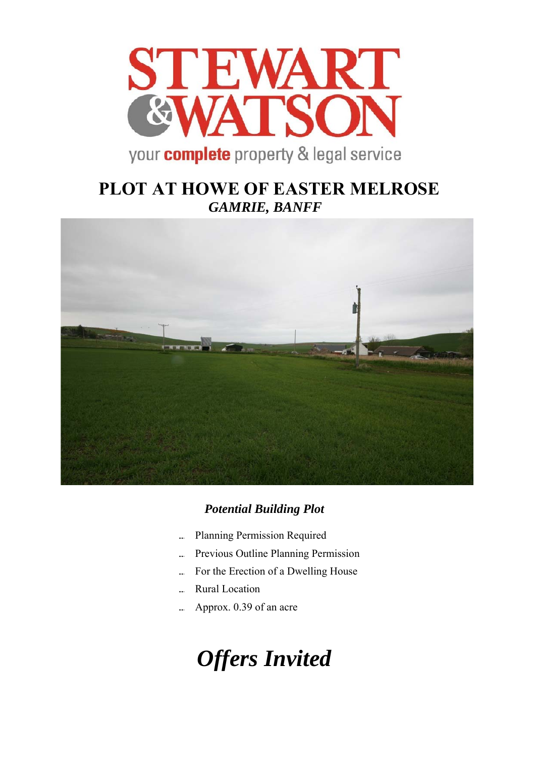

# **PLOT AT HOWE OF EASTER MELROSE**  *GAMRIE, BANFF*



## *Potential Building Plot*

- Planning Permission Required
- Previous Outline Planning Permission
- For the Erection of a Dwelling House
- Rural Location
- Approx. 0.39 of an acre

# *Offers Invited*